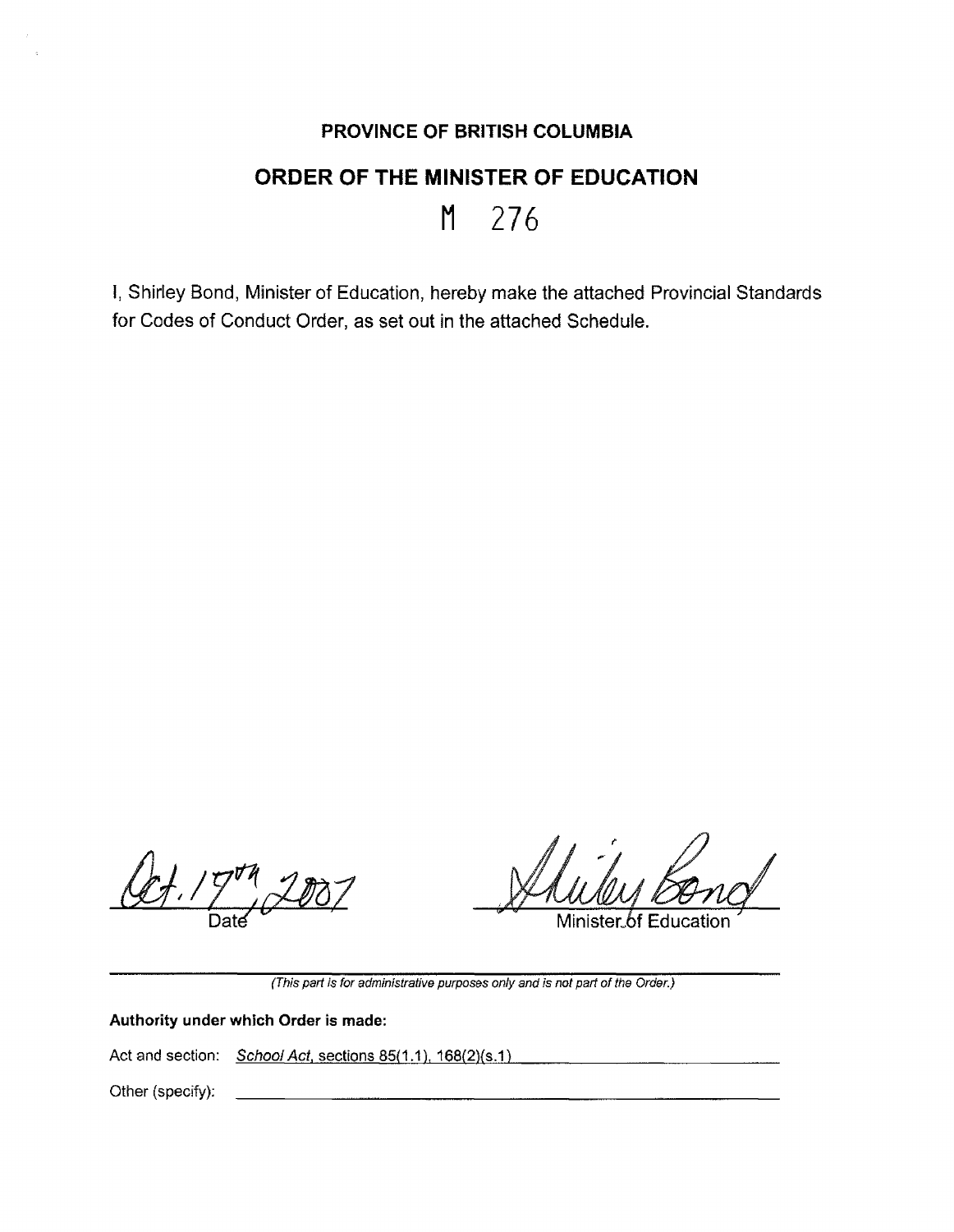## **PROVINCE OF BRITISH COLUMBIA**

## **ORDER OF THE MINISTER OF EDUCATION**

## **M** 276

I, Shirley Bond, Minister of Education, hereby make the attached Provincial Standards for Codes of Conduct Order, as set out in the attached Schedule.

 $4.79$ 

Minister of

(This part is for administrative purposes only and is not part of the Order.)

**Authority under which Order is made:** 

Act and section: School Act, sections 85(1.1), 168(2)(s.1)

Other (specify):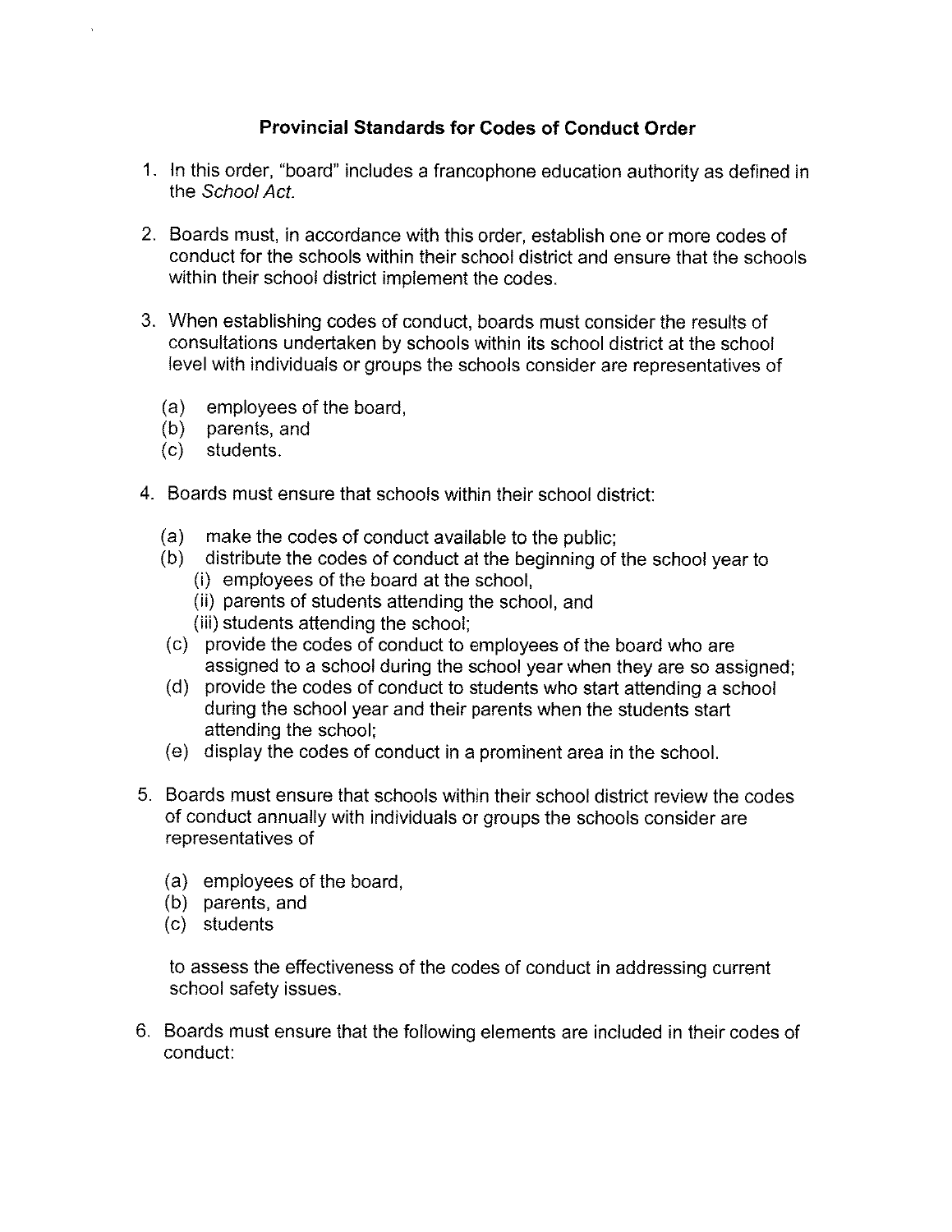## **Provincial Standards for Codes of Conduct Order**

- 1. In this order, "board" includes a francophone education authority as defined in the School Act.
- 2. Boards must, in accordance with this order, establish one or more codes of conduct for the schools within their school district and ensure that the schools within their school district implement the codes.
- 3. When establishing codes of conduct, boards must consider the results of consultations undertaken by schools within its school district at the school level with individuals or groups the schools consider are representatives of
	- (a) employees of the board,
	- (b) parents, and
	- (c) students.
- 4. Boards must ensure that schools within their school district:
	- (a) make the codes of conduct available to the public;
	- (b) distribute the codes of conduct at the beginning of the school year to
		- (i) employees of the board at the school,
		- (ii) parents of students attending the school, and
		- (iii) students attending the school;
	- (c) provide the codes of conduct to employees of the board who are assigned to a school during the school year when they are so assigned;
	- (d) provide the codes of conduct to students who start attending a school during the school year and their parents when the students start attending the school;
	- (e) display the codes of conduct in a prominent area in the school.
- 5. Boards must ensure that schools within their school district review the codes of conduct annually with individuals or groups the schools consider are representatives of
	- (a) employees of the board,
	- (b) parents, and
	- (c) students

to assess the effectiveness of the codes of conduct in addressing current school safety issues.

6. Boards must ensure that the following elements are included in their codes of conduct: